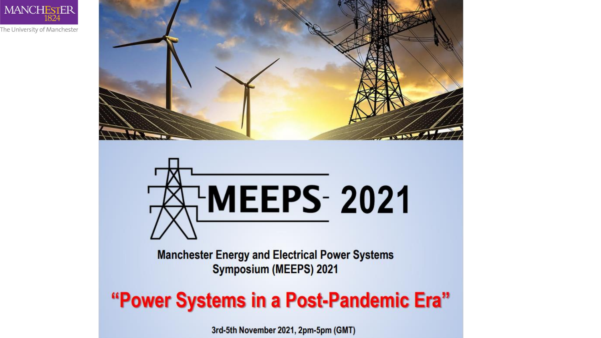

The University of Manchester



# **HMEEPS-2021**

**Manchester Energy and Electrical Power Systems** Symposium (MEEPS) 2021

"Power Systems in a Post-Pandemic Era"

3rd-5th November 2021, 2pm-5pm (GMT)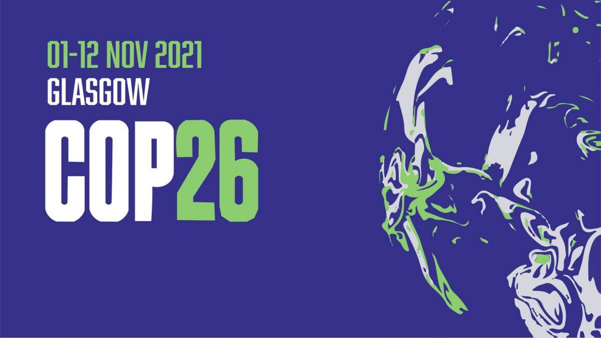# **01-12 NOV 2021** GLASGOW



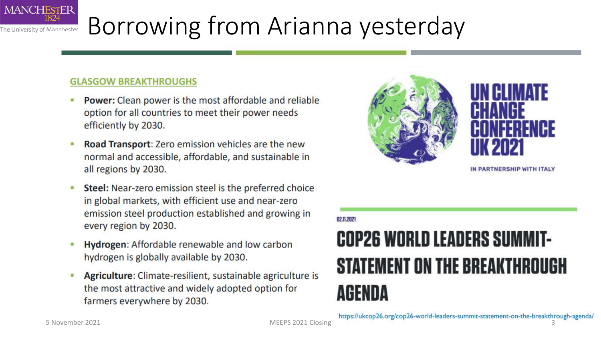#### **MANCHESTER** 1824 Borrowing from Arianna yesterday The University of Manchester

#### **GLASGOW BREAKTHROUGHS**

- Power: Clean power is the most affordable and reliable option for all countries to meet their power needs efficiently by 2030.
- Road Transport: Zero emission vehicles are the new normal and accessible, affordable, and sustainable in all regions by 2030.
- Steel: Near-zero emission steel is the preferred choice  $\blacksquare$ in global markets, with efficient use and near-zero emission steel production established and growing in every region by 2030.
- Hydrogen: Affordable renewable and low carbon hydrogen is globally available by 2030.
- Agriculture: Climate-resilient, sustainable agriculture is the most attractive and widely adopted option for farmers everywhere by 2030.



02.11.2021

#### **COP26 WORLD LEADERS SUMMIT-STATEMENT ON THE BREAKTHROUGH** AGENDA

5 November 2021 **MEEPS** 2021 Closing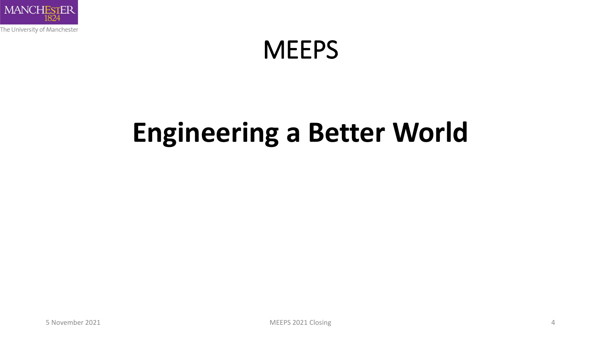

#### **MEEPS**

## **Engineering a Better World**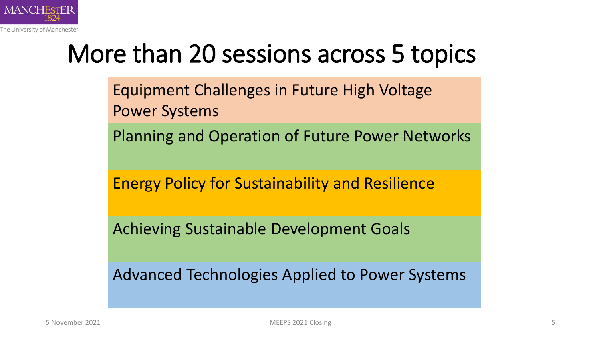

#### More than 20 sessions across 5 topics

Equipment Challenges in Future High Voltage Power Systems

Planning and Operation of Future Power Networks

Energy Policy for Sustainability and Resilience

Achieving Sustainable Development Goals

Advanced Technologies Applied to Power Systems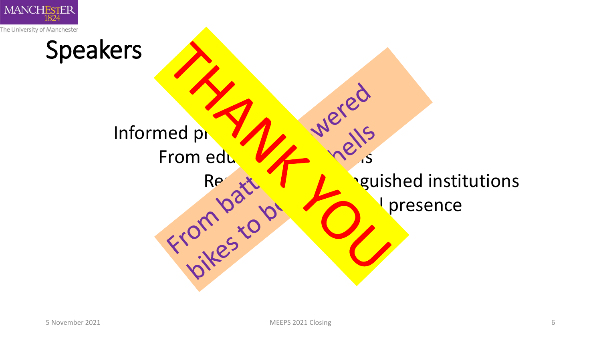

Speakers Informed presentations were From education of the state of the state of the state of the state of the state of the state of the state of the state of the state of the state of the state of the state of the state of the state of the state of the state **Representions** equished institutions presence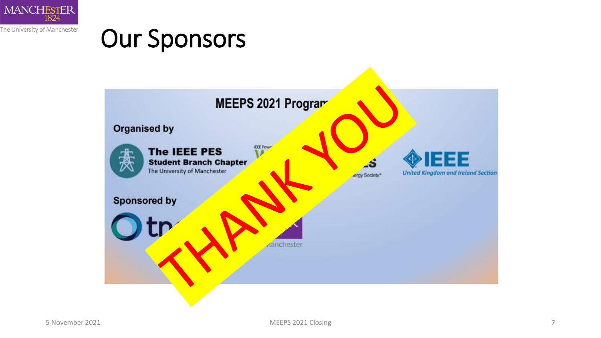

#### Our Sponsors

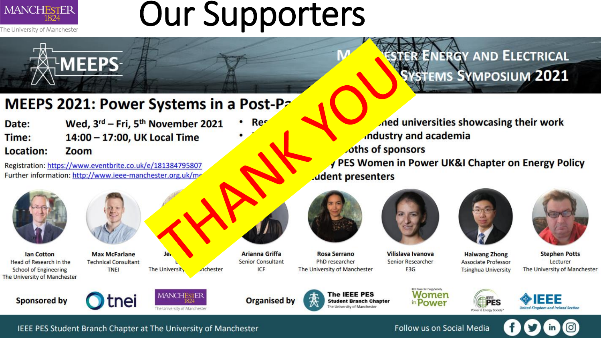

## **Our Supporters**

#### MEEPS 2021: Power Systems in a Post-Pa

| Date:              | Wed, 3rd - Fri, 5th November 2021    | <b>Res</b> |
|--------------------|--------------------------------------|------------|
| Time:<br>Location: | 14:00 - 17:00, UK Local Time<br>Zoom |            |
|                    |                                      |            |

Registration: https://www.eventbrite.co.uk/e/181384795807 Further information: http://www.ieee-manchester.org.uk/me



**lan Cotton** Head of Research in the **School of Engineering** The University of Manchester



**MEEPS-**

**Max McFarlane Technical Consultant TNEI** 



**Arianna Griffa Senior Consultant** ICF

**Rosa Serrano** PhD researcher The University of Manchester



industry and academia

oths of sponsors

Vilislava Ivanova **Senior Researcher** E<sub>3</sub>G



PES Women in Power UK&I Chapter on Energy Policy

ned universities showcasing their work

**RENERGY AND ELECTRICAL** 

**STEMS SYMPOSIUM 2021** 



**Stephen Potts** Lecturer The University of Manchester







Je.

The University

**nchester** 



The IEEE PES **Student Branch Chapter** The University of Manchester

.udent presenters





**Associate Professor** 

**Tsinghua University** 



Follow us on Social Media

IEEE PES Student Branch Chapter at The University of Manchester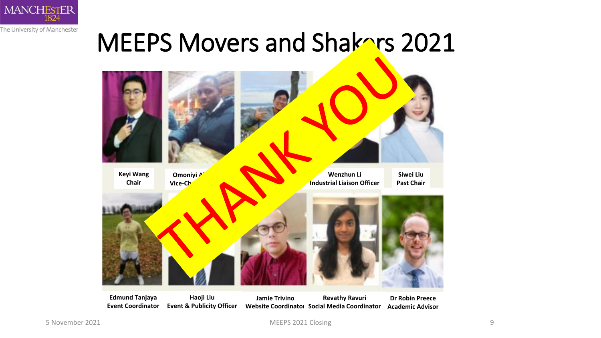

#### MEEPS Movers and Shakers 2021



**Edmund Tanjaya Event Coordinator Haoji Liu Event & Publicity Officer Jamie Trivino Website Coordinator Social Media Coordinator Revathy Ravuri Dr Robin Preece Academic Advisor**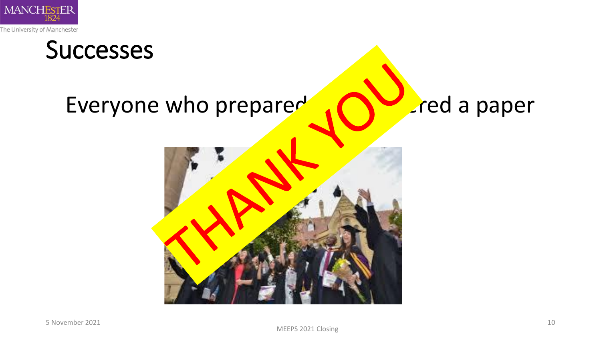

# Successes Everyone who prepared  $\bigcap_{n=1}^{\infty}$  red a paper

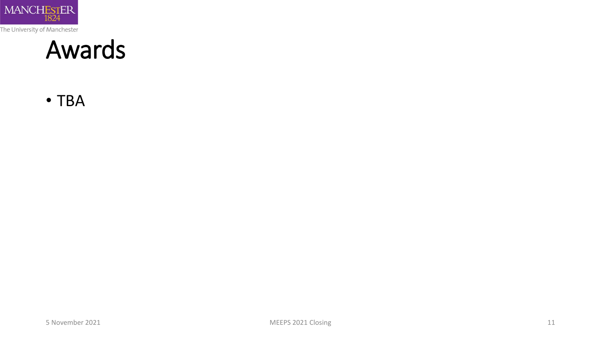

#### Awards

• TBA